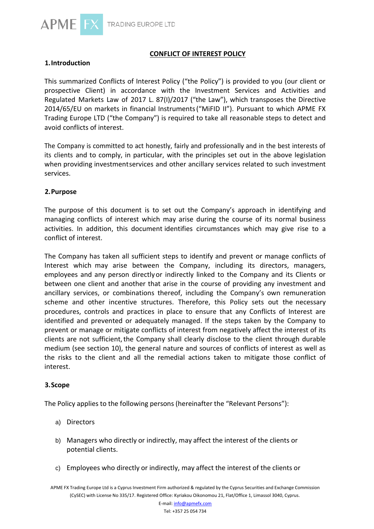

# **CONFLICT OF INTEREST POLICY**

# **1.Introduction**

This summarized Conflicts of Interest Policy ("the Policy") is provided to you (our client or prospective Client) in accordance with the Investment Services and Activities and Regulated Markets Law of 2017 L. 87(I)/2017 ("the Law"), which transposes the Directive 2014/65/EU on markets in financial Instruments("MiFID II"). Pursuant to which APME FX Trading Europe LTD ("the Company") is required to take all reasonable steps to detect and avoid conflicts of interest.

The Company is committed to act honestly, fairly and professionally and in the best interests of its clients and to comply, in particular, with the principles set out in the above legislation when providing investmentservices and other ancillary services related to such investment services.

## **2.Purpose**

The purpose of this document is to set out the Company's approach in identifying and managing conflicts of interest which may arise during the course of its normal business activities. In addition, this document identifies circumstances which may give rise to a conflict of interest.

The Company has taken all sufficient steps to identify and prevent or manage conflicts of Interest which may arise between the Company, including its directors, managers, employees and any person directlyor indirectly linked to the Company and its Clients or between one client and another that arise in the course of providing any investment and ancillary services, or combinations thereof, including the Company's own remuneration scheme and other incentive structures. Therefore, this Policy sets out the necessary procedures, controls and practices in place to ensure that any Conflicts of Interest are identified and prevented or adequately managed. If the steps taken by the Company to prevent or manage or mitigate conflicts of interest from negatively affect the interest of its clients are not sufficient, the Company shall clearly disclose to the client through durable medium (see section 10), the general nature and sources of conflicts of interest as well as the risks to the client and all the remedial actions taken to mitigate those conflict of interest.

## **3.Scope**

The Policy applies to the following persons (hereinafter the "Relevant Persons"):

- a) Directors
- b) Managers who directly or indirectly, may affect the interest of the clients or potential clients.
- c) Employees who directly or indirectly, may affect the interest of the clients or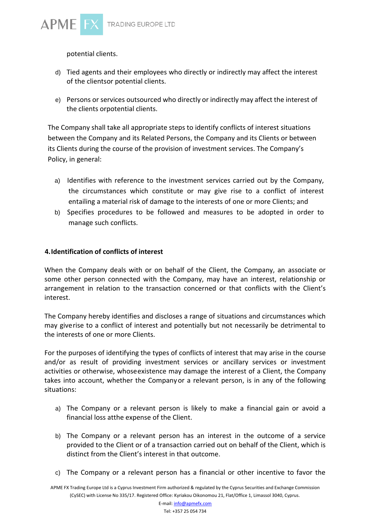

potential clients.

- d) Tied agents and their employees who directly or indirectly may affect the interest of the clientsor potential clients.
- e) Persons or services outsourced who directly or indirectly may affect the interest of the clients orpotential clients.

The Company shall take all appropriate steps to identify conflicts of interest situations between the Company and its Related Persons, the Company and its Clients or between its Clients during the course of the provision of investment services. The Company's Policy, in general:

- a) Identifies with reference to the investment services carried out by the Company, the circumstances which constitute or may give rise to a conflict of interest entailing a material risk of damage to the interests of one or more Clients; and
- b) Specifies procedures to be followed and measures to be adopted in order to manage such conflicts.

## **4.Identification of conflicts of interest**

When the Company deals with or on behalf of the Client, the Company, an associate or some other person connected with the Company, may have an interest, relationship or arrangement in relation to the transaction concerned or that conflicts with the Client's interest.

The Company hereby identifies and discloses a range of situations and circumstances which may giverise to a conflict of interest and potentially but not necessarily be detrimental to the interests of one or more Clients.

For the purposes of identifying the types of conflicts of interest that may arise in the course and/or as result of providing investment services or ancillary services or investment activities or otherwise, whoseexistence may damage the interest of a Client, the Company takes into account, whether the Companyor a relevant person, is in any of the following situations:

- a) The Company or a relevant person is likely to make a financial gain or avoid a financial loss atthe expense of the Client.
- b) The Company or a relevant person has an interest in the outcome of a service provided to the Client or of a transaction carried out on behalf of the Client, which is distinct from the Client's interest in that outcome.
- c) The Company or a relevant person has a financial or other incentive to favor the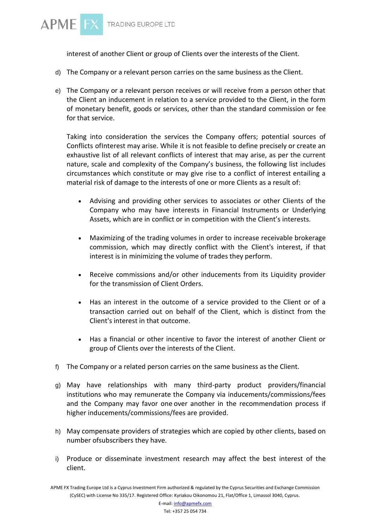

interest of another Client or group of Clients over the interests of the Client.

- d) The Company or a relevant person carries on the same business as the Client.
- e) The Company or a relevant person receives or will receive from a person other that the Client an inducement in relation to a service provided to the Client, in the form of monetary benefit, goods or services, other than the standard commission or fee for that service.

Taking into consideration the services the Company offers; potential sources of Conflicts ofInterest may arise. While it is not feasible to define precisely or create an exhaustive list of all relevant conflicts of interest that may arise, as per the current nature, scale and complexity of the Company's business, the following list includes circumstances which constitute or may give rise to a conflict of interest entailing a material risk of damage to the interests of one or more Clients as a result of:

- Advising and providing other services to associates or other Clients of the Company who may have interests in Financial Instruments or Underlying Assets, which are in conflict or in competition with the Client's interests.
- Maximizing of the trading volumes in order to increase receivable brokerage commission, which may directly conflict with the Client's interest, if that interest is in minimizing the volume of trades they perform.
- Receive commissions and/or other inducements from its Liquidity provider for the transmission of Client Orders.
- Has an interest in the outcome of a service provided to the Client or of a transaction carried out on behalf of the Client, which is distinct from the Client's interest in that outcome.
- Has a financial or other incentive to favor the interest of another Client or group of Clients over the interests of the Client.
- f) The Company or a related person carries on the same business as the Client.
- g) May have relationships with many third-party product providers/financial institutions who may remunerate the Company via inducements/commissions/fees and the Company may favor one over another in the recommendation process if higher inducements/commissions/fees are provided.
- h) May compensate providers of strategies which are copied by other clients, based on number ofsubscribers they have.
- i) Produce or disseminate investment research may affect the best interest of the client.

APME FX Trading Europe Ltd is a Cyprus Investment Firm authorized & regulated by the Cyprus Securities and Exchange Commission (CySEC) with License No 335/17. Registered Office: Kyriakou Oikonomou 21, Flat/Office 1, Limassol 3040, Cyprus.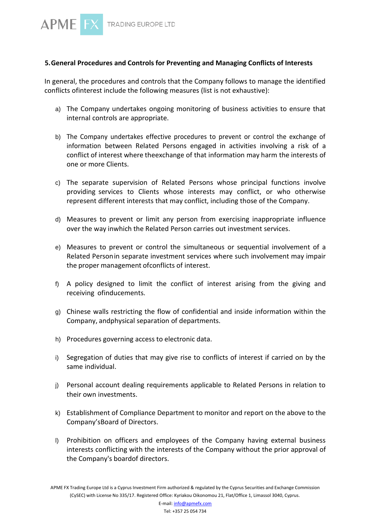

## **5.General Procedures and Controls for Preventing and Managing Conflicts of Interests**

In general, the procedures and controls that the Company follows to manage the identified conflicts ofinterest include the following measures (list is not exhaustive):

- a) The Company undertakes ongoing monitoring of business activities to ensure that internal controls are appropriate.
- b) The Company undertakes effective procedures to prevent or control the exchange of information between Related Persons engaged in activities involving a risk of a conflict of interest where theexchange of that information may harm the interests of one or more Clients.
- c) The separate supervision of Related Persons whose principal functions involve providing services to Clients whose interests may conflict, or who otherwise represent different interests that may conflict, including those of the Company.
- d) Measures to prevent or limit any person from exercising inappropriate influence over the way inwhich the Related Person carries out investment services.
- e) Measures to prevent or control the simultaneous or sequential involvement of a Related Personin separate investment services where such involvement may impair the proper management ofconflicts of interest.
- f) A policy designed to limit the conflict of interest arising from the giving and receiving ofinducements.
- g) Chinese walls restricting the flow of confidential and inside information within the Company, andphysical separation of departments.
- h) Procedures governing access to electronic data.
- i) Segregation of duties that may give rise to conflicts of interest if carried on by the same individual.
- j) Personal account dealing requirements applicable to Related Persons in relation to their own investments.
- k) Establishment of Compliance Department to monitor and report on the above to the Company'sBoard of Directors.
- l) Prohibition on officers and employees of the Company having external business interests conflicting with the interests of the Company without the prior approval of the Company's boardof directors.

APME FX Trading Europe Ltd is a Cyprus Investment Firm authorized & regulated by the Cyprus Securities and Exchange Commission (CySEC) with License No 335/17. Registered Office: Kyriakou Oikonomou 21, Flat/Office 1, Limassol 3040, Cyprus.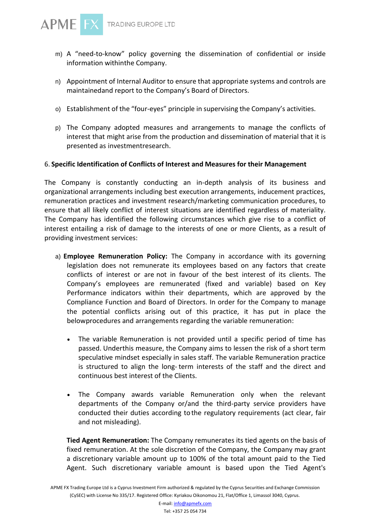- m) A "need-to-know" policy governing the dissemination of confidential or inside information withinthe Company.
- n) Appointment of Internal Auditor to ensure that appropriate systems and controls are maintainedand report to the Company's Board of Directors.
- o) Establishment of the "four-eyes" principle in supervising the Company's activities.
- p) The Company adopted measures and arrangements to manage the conflicts of interest that might arise from the production and dissemination of material that it is presented as investmentresearch.

## 6. **Specific Identification of Conflicts of Interest and Measures for their Management**

The Company is constantly conducting an in-depth analysis of its business and organizational arrangements including best execution arrangements, inducement practices, remuneration practices and investment research/marketing communication procedures, to ensure that all likely conflict of interest situations are identified regardless of materiality. The Company has identified the following circumstances which give rise to a conflict of interest entailing a risk of damage to the interests of one or more Clients, as a result of providing investment services:

- a) **Employee Remuneration Policy:** The Company in accordance with its governing legislation does not remunerate its employees based on any factors that create conflicts of interest or are not in favour of the best interest of its clients. The Company's employees are remunerated (fixed and variable) based on Key Performance indicators within their departments, which are approved by the Compliance Function and Board of Directors. In order for the Company to manage the potential conflicts arising out of this practice, it has put in place the belowprocedures and arrangements regarding the variable remuneration:
	- The variable Remuneration is not provided until a specific period of time has passed. Underthis measure, the Company aims to lessen the risk of a short term speculative mindset especially in sales staff. The variable Remuneration practice is structured to align the long- term interests of the staff and the direct and continuous best interest of the Clients.
	- The Company awards variable Remuneration only when the relevant departments of the Company or/and the third-party service providers have conducted their duties according to the regulatory requirements (act clear, fair and not misleading).

**Tied Agent Remuneration:** The Company remunerates its tied agents on the basis of fixed remuneration. At the sole discretion of the Company, the Company may grant a discretionary variable amount up to 100% of the total amount paid to the Tied Agent. Such discretionary variable amount is based upon the Tied Agent's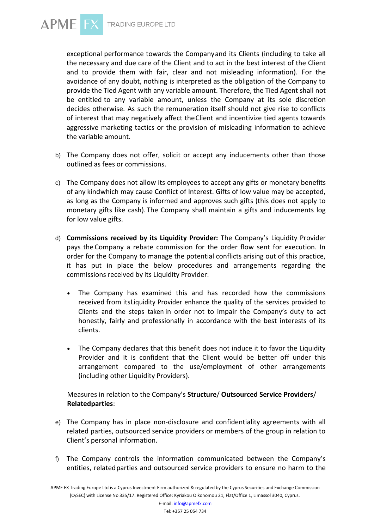

exceptional performance towards the Companyand its Clients (including to take all the necessary and due care of the Client and to act in the best interest of the Client and to provide them with fair, clear and not misleading information). For the avoidance of any doubt, nothing is interpreted as the obligation of the Company to provide the Tied Agent with any variable amount. Therefore, the Tied Agent shall not be entitled to any variable amount, unless the Company at its sole discretion decides otherwise. As such the remuneration itself should not give rise to conflicts of interest that may negatively affect theClient and incentivize tied agents towards aggressive marketing tactics or the provision of misleading information to achieve the variable amount.

- b) The Company does not offer, solicit or accept any inducements other than those outlined as fees or commissions.
- c) The Company does not allow its employees to accept any gifts or monetary benefits of any kindwhich may cause Conflict of Interest. Gifts of low value may be accepted, as long as the Company is informed and approves such gifts (this does not apply to monetary gifts like cash). The Company shall maintain a gifts and inducements log for low value gifts.
- d) **Commissions received by its Liquidity Provider:** The Company's Liquidity Provider pays the Company a rebate commission for the order flow sent for execution. In order for the Company to manage the potential conflicts arising out of this practice, it has put in place the below procedures and arrangements regarding the commissions received by its Liquidity Provider:
	- The Company has examined this and has recorded how the commissions received from itsLiquidity Provider enhance the quality of the services provided to Clients and the steps taken in order not to impair the Company's duty to act honestly, fairly and professionally in accordance with the best interests of its clients.
	- The Company declares that this benefit does not induce it to favor the Liquidity Provider and it is confident that the Client would be better off under this arrangement compared to the use/employment of other arrangements (including other Liquidity Providers).

Measures in relation to the Company's **Structure**/ **Outsourced Service Providers**/ **Relatedparties**:

- e) The Company has in place non-disclosure and confidentiality agreements with all related parties, outsourced service providers or members of the group in relation to Client's personal information.
- f) The Company controls the information communicated between the Company's entities, relatedparties and outsourced service providers to ensure no harm to the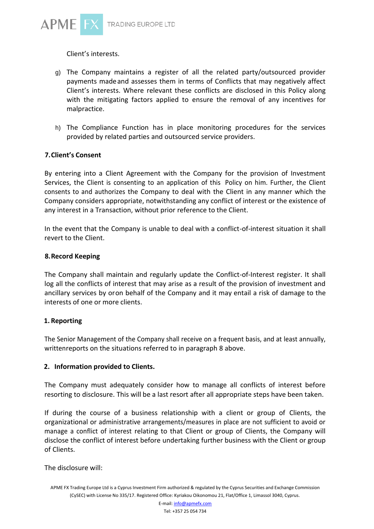

Client's interests.

- g) The Company maintains a register of all the related party/outsourced provider payments madeand assesses them in terms of Conflicts that may negatively affect Client's interests. Where relevant these conflicts are disclosed in this Policy along with the mitigating factors applied to ensure the removal of any incentives for malpractice.
- h) The Compliance Function has in place monitoring procedures for the services provided by related parties and outsourced service providers.

## **7.Client's Consent**

By entering into a Client Agreement with the Company for the provision of Investment Services, the Client is consenting to an application of this Policy on him. Further, the Client consents to and authorizes the Company to deal with the Client in any manner which the Company considers appropriate, notwithstanding any conflict of interest or the existence of any interest in a Transaction, without prior reference to the Client.

In the event that the Company is unable to deal with a conflict-of-interest situation it shall revert to the Client.

## **8.Record Keeping**

The Company shall maintain and regularly update the Conflict-of-Interest register. It shall log all the conflicts of interest that may arise as a result of the provision of investment and ancillary services by oron behalf of the Company and it may entail a risk of damage to the interests of one or more clients.

## **1. Reporting**

The Senior Management of the Company shall receive on a frequent basis, and at least annually, writtenreports on the situations referred to in paragraph 8 above.

## **2. Information provided to Clients.**

The Company must adequately consider how to manage all conflicts of interest before resorting to disclosure. This will be a last resort after all appropriate steps have been taken.

If during the course of a business relationship with a client or group of Clients, the organizational or administrative arrangements/measures in place are not sufficient to avoid or manage a conflict of interest relating to that Client or group of Clients, the Company will disclose the conflict of interest before undertaking further business with the Client or group of Clients.

The disclosure will: